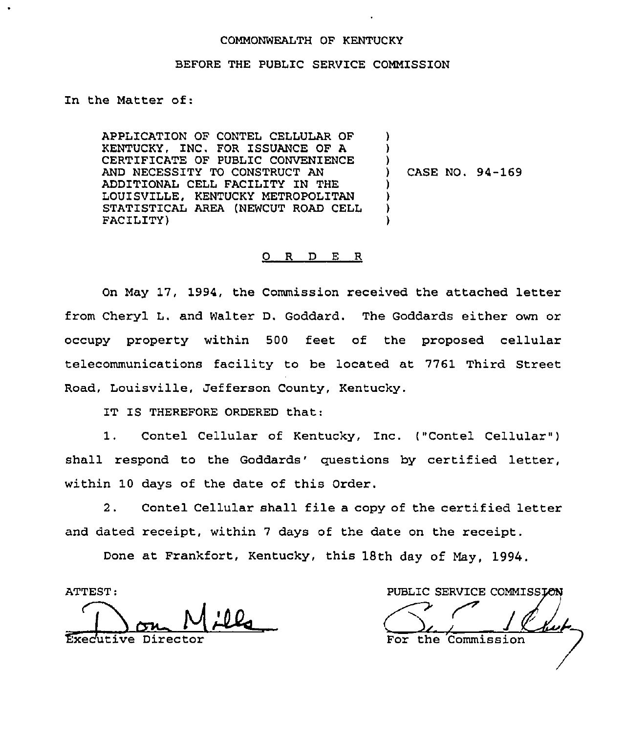## COMMONWEALTH OF KENTUCKY

## BEFORE THE PUBLIC SERVICE COMMISSION

In the Matter of:

APPLICATION OF CONTEL CELLULAR OF KENTUCKY, INC. FOR ISSUANCE OF A CERTIFICATE OF PUBLIC CONVENIENCE AND NECESSITY TO CONSTRUCT AN ADDITIONAL CELL FACILITY IN THE LOUISVILLE, KENTUCKY METROPOLITAN STATISTICAL AREA (NEWCUT ROAD CELL FACILITY) ) ) ) ) CASE NO. 94-169 ) ) ) )

## 0 R <sup>D</sup> E R

On May 17, 1994, the Commission received the attached letter from Cheryl L. and Walter D. Goddard. The Goddards either own or occupy property within 500 feet of the proposed cellular telecommunications facility to be located at 7761 Third Street Road, Louisville, Jefferson County, Kentucky.

IT IS THEREFORE ORDERED that:

1. Contel Cellular of Kentucky, Inc. ("Contel Cellular" ) shall respond to the Goddards' questions by certified letter, within 10 days of the date of this Order.

2. Contel Cellular shall file a copy of the certified letter and dated receipt, within <sup>7</sup> days of the date on the receipt.

Done at Frankfort, Kentucky, this 18th day of May, 1994.

ATTEST:

Exec'utive Director

PUBLIC SERVICE COMMISSION For the Commission